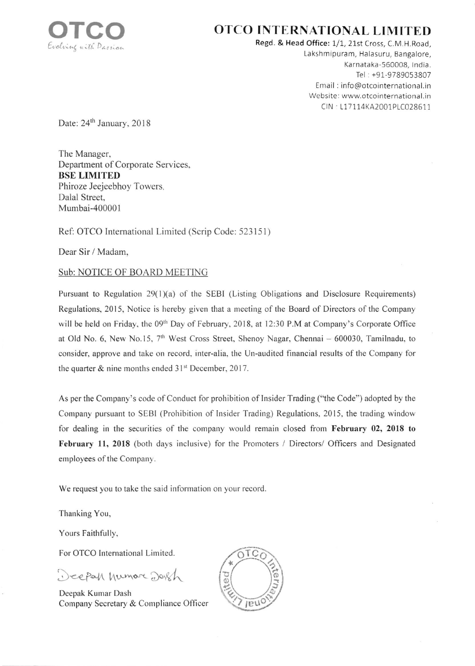

## OTCO INTERNATIONAL LIMITED

Regd. & Head Office: 1/1, 21st Cross, C.M.H.Road, Lakshmipuram, Halasuru, Bangalore, Karnataka-560008, India. Tel : +91-9789053807 Email : info@otcointernational.in Website: www.otcointernational.in CIN : L17114KA2001PLC028611

Date: 24<sup>th</sup> January, 2018

The Manager, Department of Corporate Services, BSE LIMITED Phiroze Jeejeebhoy Towers, Dalal Street, Mumbai-400001

Ref: OTCO International Limited (Scrip Code: 523151)

Dear Sir / Madam.

## Sub: NOTICE OF BOARD MEETING

Pursuant to Regulation 29(1)(a) of the SEBI (Listing Obligations and Disclosure Requirements) Regulations, 2015, Notice is hereby given that a meeting of the Board of Directors of the Company will be held on Friday, the 09<sup>th</sup> Day of February, 2018, at 12:30 P.M at Company's Corporate Office at Old No. 6, New No.15,  $7<sup>th</sup>$  West Cross Street, Shenoy Nagar, Chennai - 600030, Tamilnadu, to consider, approve and take on record, inter-alia, the Un-audited financial results of the Company for the quarter  $&$  nine months ended  $31<sup>st</sup>$  December, 2017.

As per the Company's code of Conduct for prohibition of Insider Trading ("the Code") adopted by the Company pursuant to SEBI (Prohibition of Insider Trading) Regulations, 2015, the trading window for dealing in the securities of the company would remain closed from February 02, 2018 to February 11, 2018 (both days inclusive) for the Promoters / Directors/ Officers and Designated employees of the Company.

We request you to take the said information on your record.

Thanking You,

Yours Faithfully,

For OTCO International Limited

Deepah humore Dorch

Deepak Kumar Dash Company Secretary & Compliance Officer

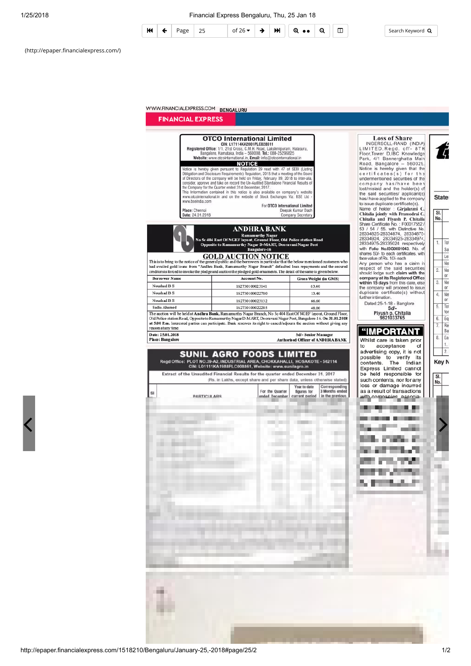#### 1/25/2018 Financial Express Bengaluru, Thu, 25 Jan 18



Search Keyword Q

Sal

 $or 1$ 

(http://epaper.financialexpress.com/)

### WWW.FINANCIALEXPRESS.COM BENGALURU

**FINANCIAL EXPRESS Loss of Share OTCO** International Limited LOSS Of Share<br>
INGERSOLL-RAND (INDIA)<br>
LIMITED, Regd. off-8TH<br>
Floor, Tower D, IBC Knowledge<br>
Park, 4/1 Bannerghatta Main<br>
Road, Bangalore - 560029.<br>
Notice is hereby given that the<br>
certificates (s) for the<br>
certificates CINCETTITURE<br>
CIN: L17114KA2001PLC028611<br>
Registered Office: 1/1, 21st Cross, C.M.H. Road, Lakshmpuram, Halasuru,<br>
Bangalore, Karnataka, India – 560009, Tel.: 080-25296825<br>
Website: www.otcointernational.in, Email: info@ot С **NOTICE** Notice is hereby given pursuant to Regulation 29 read with 47 of SEBI (Listing Obligation and Disclosure Requirements) Regulation, 2015 that a meeting of the Board of Directors of the company will be held on Friday, Februa undermentioned securities of the company has/have been<br>lost/mislaid and the holder(s) of<br>the said securities/ applicant(s)<br>has/ have applied to the company consider, approve and take on record the Un-Audited Standalone Financial Results of consider, approve and take on record the Un-Audited Standalone Financial Results of<br>the Company for the Quarter ended 31st December, 2017.<br>This Information contained in this notice is also available on company's website<br>ww **Stater** has/ have applied to the company<br>
to issue duplicate certificate(s).<br>
Name of holder : Girjalaxmi G.<br>
Chitalia jointly with Pramodrai G.<br>
Chitalia and Piyush P. Chitalia<br>
Share Certificate No. : F00017552 /<br>
53 / 54 / 55, www.bseindia.com For OTCO International Limited Place: Chenna Deepak Kumar Dash<br>Company Secretary  $\overline{\mathbf{S}}$ Date: 24.01.2018 No. **ANDHRA BANK** Tot 1. 26334975-26335024 respectively<br>with Folio No.ISG0001043. No. of<br>shares 50/- to each certificates, with<br>face value of Rs. 10/- each **GOLD AUCTION NOTICE**<br>the general public and the borrowers in particular that the below mentioned customers who<br>Andhra Bank, Ramamurthy Nagar Branch" defaulted loan repayments and the secured Les This is to bring to the notice of the have value of this. Tul-earn<br>Any person who has a claim in<br>respect of the said securities<br>should lodge such claim with the<br>company at its Registered Office<br>within 15 days from this date, else Net "the general public and<br>"Andhra Bank, Rama ad availed gold loans from  $\mathfrak{D}$ Net creditors is forced to invoke the pledge and auction the pledged gold ornaments. The detail of the same is given below.  $or 1$ **Borrower Name** Account No. **Gross Weight (in GMS)**  $\overline{3}$ Net Noughad B S 162730100023141 63.40 the company will proceed to issue<br>duplicate certificate(s) without or I Noushad B S 162730100022780 13.40  $\overline{4}$ Net further intimation. Noushad B S 162730100023132 66.60 Dated:25-1-18 - Banglore 5. Tot Formation<br>Sd/-<br>Piyush p. Chitalia<br>9821033765 Sadia Ahamed 162730100022285 48.00 for The auction will be held at **Andhra Bank**, Ramamurthy Nagar Branch, No 5c 404 East Of NGEF layout, Ground Floor,<br>Old Police station Road, Opposite to Ramamurthy Nagar D-MART, Dooravani Nagar Post, Bangalore-16. On 31.01.20  $6.$ For at 5.00 P.m. Interested parties can participate. Bank reserves its right to cancel/adjourn the au ction without giving any  $\overline{7}$ Re: reason at any time <u> "IMPORTANT</u> Bal Date: 25.01.2018 Sd/- Senior Manage  $\bf 8.$ Ear Place: Bang Authorised Officer of ANDHRA BANK Whilst care is taken prior  $1.1$ acceptance to of advertising copy, it is not  $2.1$ **SUNIL AGRO FOODS LIMITED** possible to verify its<br>contents. The Indian Regd Office: PLOT NO.39-A2, INDUSTRIAL AREA, CHOKKAHALLI, HOSAKOTE - 562114<br>CIN: L01111KA1988PLC008861, Website: www.sunilagro.in Key N Express Limited cannot Extract of the Unaudited Financial Results for the quarter ended December 31, 2017 be held responsible for  $SI$ se stated (Rs. in Lakhs, except share and per share data, unless such contents, nor for any No. loss or damage incurred Year to date Corresponding<br>3 Months ended<br>in the previous For the Quarter as a result of transactions  $s<sub>l</sub>$ figures for current period **PARTICULARS** ended December with companies associa-. a in m. ш